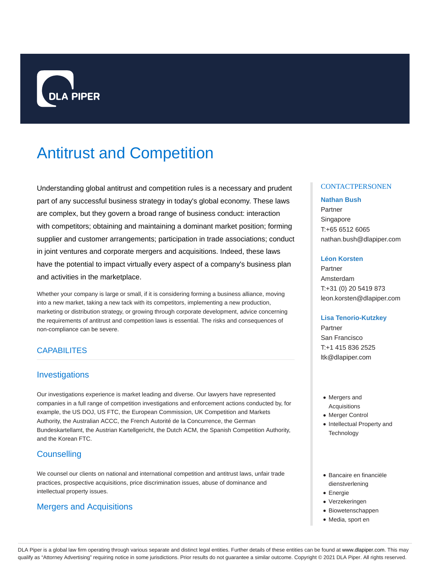

# Antitrust and Competition

Understanding global antitrust and competition rules is a necessary and prudent part of any successful business strategy in today's global economy. These laws are complex, but they govern a broad range of business conduct: interaction with competitors; obtaining and maintaining a dominant market position; forming supplier and customer arrangements; participation in trade associations; conduct in joint ventures and corporate mergers and acquisitions. Indeed, these laws have the potential to impact virtually every aspect of a company's business plan and activities in the marketplace.

Whether your company is large or small, if it is considering forming a business alliance, moving into a new market, taking a new tack with its competitors, implementing a new production, marketing or distribution strategy, or growing through corporate development, advice concerning the requirements of antitrust and competition laws is essential. The risks and consequences of non-compliance can be severe.

# **CAPABILITES**

# Investigations

Our investigations experience is market leading and diverse. Our lawyers have represented companies in a full range of competition investigations and enforcement actions conducted by, for example, the US DOJ, US FTC, the European Commission, UK Competition and Markets Authority, the Australian ACCC, the French Autorité de la Concurrence, the German Bundeskartellamt, the Austrian Kartellgericht, the Dutch ACM, the Spanish Competition Authority, and the Korean FTC.

# **Counselling**

We counsel our clients on national and international competition and antitrust laws, unfair trade practices, prospective acquisitions, price discrimination issues, abuse of dominance and intellectual property issues.

# Mergers and Acquisitions

### **CONTACTPERSONEN**

#### **Nathan Bush**

Partner Singapore T:+65 6512 6065 nathan.bush@dlapiper.com

#### **Léon Korsten**

Partner Amsterdam T:+31 (0) 20 5419 873 leon.korsten@dlapiper.com

### **Lisa Tenorio-Kutzkey**

Partner San Francisco T:+1 415 836 2525 ltk@dlapiper.com

- Mergers and Acquisitions
- Merger Control
- Intellectual Property and **Technology**
- Bancaire en financiële dienstverlening
- Energie
- Verzekeringen
- Biowetenschappen
- Media, sport en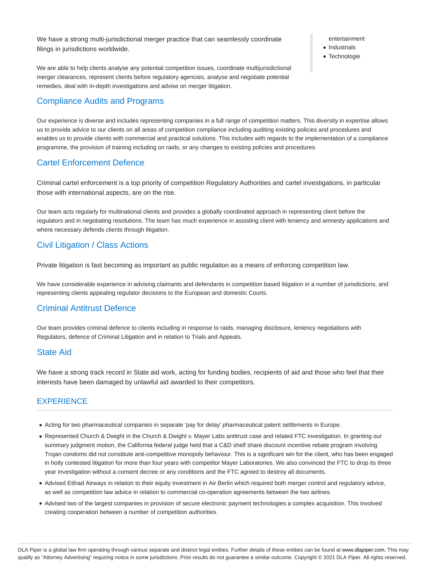We have a strong multi-jurisdictional merger practice that can seamlessly coordinate filings in jurisdictions worldwide.

We are able to help clients analyse any potential competition issues, coordinate multijurisdictional merger clearances, represent clients before regulatory agencies, analyse and negotiate potential remedies, deal with in-depth investigations and advise on merger litigation.

# Compliance Audits and Programs

Our experience is diverse and includes representing companies in a full range of competition matters. This diversity in expertise allows us to provide advice to our clients on all areas of competition compliance including auditing existing policies and procedures and enables us to provide clients with commercial and practical solutions. This includes with regards to the implementation of a compliance programme, the provision of training including on raids, or any changes to existing policies and procedures.

# Cartel Enforcement Defence

Criminal cartel enforcement is a top priority of competition Regulatory Authorities and cartel investigations, in particular those with international aspects, are on the rise.

Our team acts regularly for multinational clients and provides a globally coordinated approach in representing client before the regulators and in negotiating resolutions. The team has much experience in assisting client with leniency and amnesty applications and where necessary defends clients through litigation.

# Civil Litigation / Class Actions

Private litigation is fast becoming as important as public regulation as a means of enforcing competition law.

We have considerable experience in advising claimants and defendants in competition based litigation in a number of jurisdictions, and representing clients appealing regulator decisions to the European and domestic Courts.

# Criminal Antitrust Defence

Our team provides criminal defence to clients including in response to raids, managing disclosure, leniency negotiations with Regulators, defence of Criminal Litigation and in relation to Trials and Appeals.

# State Aid

We have a strong track record in State aid work, acting for funding bodies, recipients of aid and those who feel that their interests have been damaged by unlawful aid awarded to their competitors.

# **EXPERIENCE**

- Acting for two pharmaceutical companies in separate 'pay for delay' pharmaceutical patent settlements in Europe.
- Represented Church & Dwight in the Church & Dwight v. Mayer Labs antitrust case and related FTC investigation. In granting our summary judgment motion, the California federal judge held that a C&D shelf share discount incentive rebate program involving Trojan condoms did not constitute anti-competitive monopoly behaviour. This is a significant win for the client, who has been engaged in hotly contested litigation for more than four years with competitor Mayer Laboratories. We also convinced the FTC to drop its three year investigation without a consent decree or any conditions and the FTC agreed to destroy all documents.
- Advised Etihad Airways in relation to their equity investment in Air Berlin which required both merger control and regulatory advice, as well as competition law advice in relation to commercial co-operation agreements between the two airlines.
- Advised two of the largest companies in provision of secure electronic payment technologies a complex acquisition. This involved creating cooperation between a number of competition authorities.

#### entertainment

- Industrials
- **Technologie**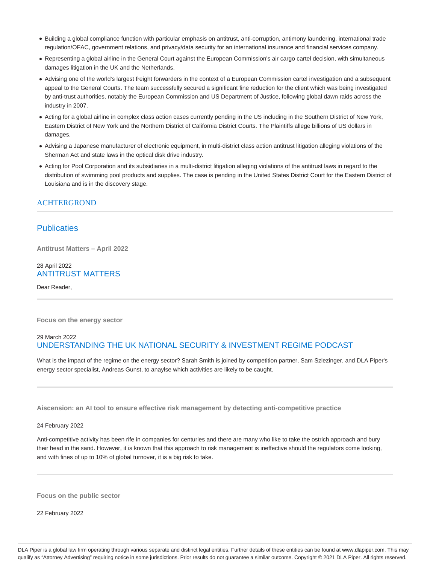- Building a global compliance function with particular emphasis on antitrust, anti-corruption, antimony laundering, international trade regulation/OFAC, government relations, and privacy/data security for an international insurance and financial services company.
- Representing a global airline in the General Court against the European Commission's air cargo cartel decision, with simultaneous damages litigation in the UK and the Netherlands.
- Advising one of the world's largest freight forwarders in the context of a European Commission cartel investigation and a subsequent appeal to the General Courts. The team successfully secured a significant fine reduction for the client which was being investigated by anti-trust authorities, notably the European Commission and US Department of Justice, following global dawn raids across the industry in 2007.
- Acting for a global airline in complex class action cases currently pending in the US including in the Southern District of New York, Eastern District of New York and the Northern District of California District Courts. The Plaintiffs allege billions of US dollars in damages.
- Advising a Japanese manufacturer of electronic equipment, in multi-district class action antitrust litigation alleging violations of the Sherman Act and state laws in the optical disk drive industry.
- Acting for Pool Corporation and its subsidiaries in a multi-district litigation alleging violations of the antitrust laws in regard to the distribution of swimming pool products and supplies. The case is pending in the United States District Court for the Eastern District of Louisiana and is in the discovery stage.

# ACHTERGROND

# **Publicaties**

**Antitrust Matters – April 2022**

# 28 April 2022 ANTITRUST MATTERS

Dear Reader,

**Focus on the energy sector**

# 29 March 2022 UNDERSTANDING THE UK NATIONAL SECURITY & INVESTMENT REGIME PODCAST

What is the impact of the regime on the energy sector? Sarah Smith is joined by competition partner, Sam Szlezinger, and DLA Piper's energy sector specialist, Andreas Gunst, to anaylse which activities are likely to be caught.

**Aiscension: an AI tool to ensure effective risk management by detecting anti-competitive practice**

#### 24 February 2022

Anti-competitive activity has been rife in companies for centuries and there are many who like to take the ostrich approach and bury their head in the sand. However, it is known that this approach to risk management is ineffective should the regulators come looking, and with fines of up to 10% of global turnover, it is a big risk to take.

**Focus on the public sector**

22 February 2022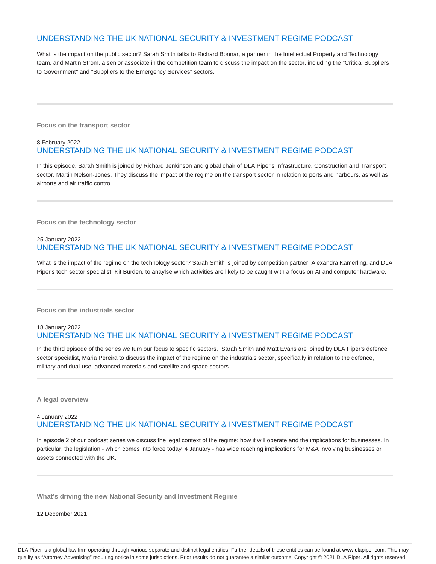# UNDERSTANDING THE UK NATIONAL SECURITY & INVESTMENT REGIME PODCAST

What is the impact on the public sector? Sarah Smith talks to Richard Bonnar, a partner in the Intellectual Property and Technology team, and Martin Strom, a senior associate in the competition team to discuss the impact on the sector, including the "Critical Suppliers to Government" and "Suppliers to the Emergency Services" sectors.

**Focus on the transport sector**

### 8 February 2022 UNDERSTANDING THE UK NATIONAL SECURITY & INVESTMENT REGIME PODCAST

In this episode, Sarah Smith is joined by Richard Jenkinson and global chair of DLA Piper's Infrastructure, Construction and Transport sector, Martin Nelson-Jones. They discuss the impact of the regime on the transport sector in relation to ports and harbours, as well as airports and air traffic control.

**Focus on the technology sector**

# 25 January 2022 UNDERSTANDING THE UK NATIONAL SECURITY & INVESTMENT REGIME PODCAST

What is the impact of the regime on the technology sector? Sarah Smith is joined by competition partner, Alexandra Kamerling, and DLA Piper's tech sector specialist, Kit Burden, to anaylse which activities are likely to be caught with a focus on AI and computer hardware.

**Focus on the industrials sector**

### 18 January 2022 UNDERSTANDING THE UK NATIONAL SECURITY & INVESTMENT REGIME PODCAST

In the third episode of the series we turn our focus to specific sectors. Sarah Smith and Matt Evans are joined by DLA Piper's defence sector specialist, Maria Pereira to discuss the impact of the regime on the industrials sector, specifically in relation to the defence, military and dual-use, advanced materials and satellite and space sectors.

**A legal overview**

# 4 January 2022 UNDERSTANDING THE UK NATIONAL SECURITY & INVESTMENT REGIME PODCAST

In episode 2 of our podcast series we discuss the legal context of the regime: how it will operate and the implications for businesses. In particular, the legislation - which comes into force today, 4 January - has wide reaching implications for M&A involving businesses or assets connected with the UK.

**What's driving the new National Security and Investment Regime**

12 December 2021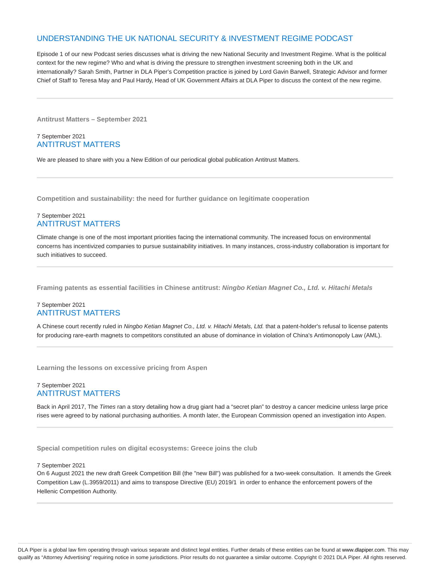# UNDERSTANDING THE UK NATIONAL SECURITY & INVESTMENT REGIME PODCAST

Episode 1 of our new Podcast series discusses what is driving the new National Security and Investment Regime. What is the political context for the new regime? Who and what is driving the pressure to strengthen investment screening both in the UK and internationally? Sarah Smith, Partner in DLA Piper's Competition practice is joined by Lord Gavin Barwell, Strategic Advisor and former Chief of Staff to Teresa May and Paul Hardy, Head of UK Government Affairs at DLA Piper to discuss the context of the new regime.

**Antitrust Matters – September 2021**

# 7 September 2021 ANTITRUST MATTERS

We are pleased to share with you a New Edition of our periodical global publication Antitrust Matters.

**Competition and sustainability: the need for further guidance on legitimate cooperation**

### 7 September 2021 ANTITRUST MATTERS

Climate change is one of the most important priorities facing the international community. The increased focus on environmental concerns has incentivized companies to pursue sustainability initiatives. In many instances, cross-industry collaboration is important for such initiatives to succeed.

**Framing patents as essential facilities in Chinese antitrust: Ningbo Ketian Magnet Co., Ltd. v. Hitachi Metals**

# 7 September 2021 ANTITRUST MATTERS

A Chinese court recently ruled in Ningbo Ketian Magnet Co., Ltd. v. Hitachi Metals, Ltd. that a patent-holder's refusal to license patents for producing rare-earth magnets to competitors constituted an abuse of dominance in violation of China's Antimonopoly Law (AML).

**Learning the lessons on excessive pricing from Aspen**

### 7 September 2021 ANTITRUST MATTERS

Back in April 2017, The Times ran a story detailing how a drug giant had a "secret plan" to destroy a cancer medicine unless large price rises were agreed to by national purchasing authorities. A month later, the European Commission opened an investigation into Aspen.

**Special competition rules on digital ecosystems: Greece joins the club**

#### 7 September 2021

On 6 August 2021 the new draft Greek Competition Bill (the "new Bill") was published for a two-week consultation. It amends the Greek Competition Law (L.3959/2011) and aims to transpose Directive (EU) 2019/1 in order to enhance the enforcement powers of the Hellenic Competition Authority.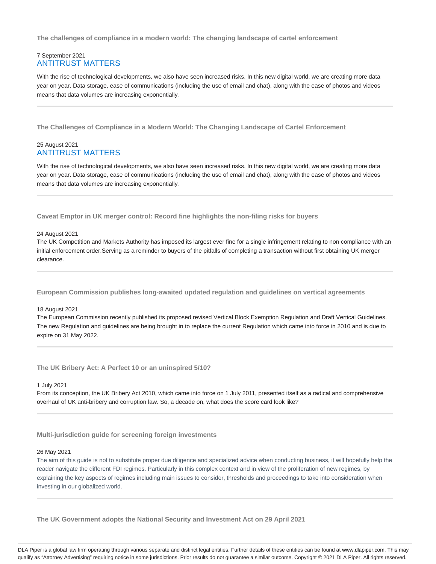**The challenges of compliance in a modern world: The changing landscape of cartel enforcement**

### 7 September 2021 ANTITRUST MATTERS

With the rise of technological developments, we also have seen increased risks. In this new digital world, we are creating more data year on year. Data storage, ease of communications (including the use of email and chat), along with the ease of photos and videos means that data volumes are increasing exponentially.

**The Challenges of Compliance in a Modern World: The Changing Landscape of Cartel Enforcement**

### 25 August 2021 ANTITRUST MATTERS

With the rise of technological developments, we also have seen increased risks. In this new digital world, we are creating more data year on year. Data storage, ease of communications (including the use of email and chat), along with the ease of photos and videos means that data volumes are increasing exponentially.

**Caveat Emptor in UK merger control: Record fine highlights the non-filing risks for buyers**

#### 24 August 2021

The UK Competition and Markets Authority has imposed its largest ever fine for a single infringement relating to non compliance with an initial enforcement order.Serving as a reminder to buyers of the pitfalls of completing a transaction without first obtaining UK merger clearance.

**European Commission publishes long-awaited updated regulation and guidelines on vertical agreements**

#### 18 August 2021

The European Commission recently published its proposed revised Vertical Block Exemption Regulation and Draft Vertical Guidelines. The new Regulation and guidelines are being brought in to replace the current Regulation which came into force in 2010 and is due to expire on 31 May 2022.

**The UK Bribery Act: A Perfect 10 or an uninspired 5/10?**

#### 1 July 2021

From its conception, the UK Bribery Act 2010, which came into force on 1 July 2011, presented itself as a radical and comprehensive overhaul of UK anti-bribery and corruption law. So, a decade on, what does the score card look like?

**Multi-jurisdiction guide for screening foreign investments**

#### 26 May 2021

The aim of this guide is not to substitute proper due diligence and specialized advice when conducting business, it will hopefully help the reader navigate the different FDI regimes. Particularly in this complex context and in view of the proliferation of new regimes, by explaining the key aspects of regimes including main issues to consider, thresholds and proceedings to take into consideration when investing in our globalized world.

**The UK Government adopts the National Security and Investment Act on 29 April 2021**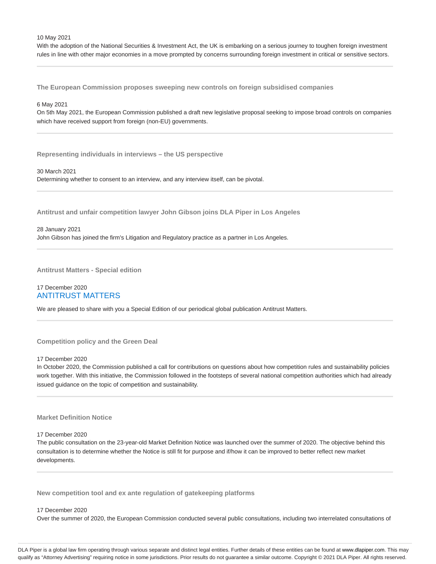With the adoption of the National Securities & Investment Act, the UK is embarking on a serious journey to toughen foreign investment rules in line with other major economies in a move prompted by concerns surrounding foreign investment in critical or sensitive sectors.

**The European Commission proposes sweeping new controls on foreign subsidised companies**

#### 6 May 2021

On 5th May 2021, the European Commission published a draft new legislative proposal seeking to impose broad controls on companies which have received support from foreign (non-EU) governments.

**Representing individuals in interviews – the US perspective**

#### 30 March 2021

Determining whether to consent to an interview, and any interview itself, can be pivotal.

**Antitrust and unfair competition lawyer John Gibson joins DLA Piper in Los Angeles**

#### 28 January 2021

John Gibson has joined the firm's Litigation and Regulatory practice as a partner in Los Angeles.

**Antitrust Matters - Special edition**

#### 17 December 2020 ANTITRUST MATTERS

We are pleased to share with you a Special Edition of our periodical global publication Antitrust Matters.

#### **Competition policy and the Green Deal**

#### 17 December 2020

In October 2020, the Commission published a call for contributions on questions about how competition rules and sustainability policies work together. With this initiative, the Commission followed in the footsteps of several national competition authorities which had already issued guidance on the topic of competition and sustainability.

#### **Market Definition Notice**

#### 17 December 2020

The public consultation on the 23-year-old Market Definition Notice was launched over the summer of 2020. The objective behind this consultation is to determine whether the Notice is still fit for purpose and if/how it can be improved to better reflect new market developments.

**New competition tool and ex ante regulation of gatekeeping platforms**

#### 17 December 2020

Over the summer of 2020, the European Commission conducted several public consultations, including two interrelated consultations of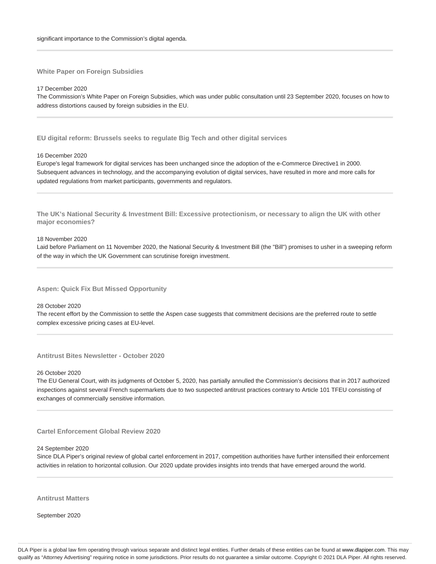**White Paper on Foreign Subsidies**

17 December 2020

The Commission's White Paper on Foreign Subsidies, which was under public consultation until 23 September 2020, focuses on how to address distortions caused by foreign subsidies in the EU.

**EU digital reform: Brussels seeks to regulate Big Tech and other digital services**

16 December 2020

Europe's legal framework for digital services has been unchanged since the adoption of the e-Commerce Directive1 in 2000. Subsequent advances in technology, and the accompanying evolution of digital services, have resulted in more and more calls for updated regulations from market participants, governments and regulators.

**The UK's National Security & Investment Bill: Excessive protectionism, or necessary to align the UK with other major economies?**

18 November 2020

Laid before Parliament on 11 November 2020, the National Security & Investment Bill (the "Bill") promises to usher in a sweeping reform of the way in which the UK Government can scrutinise foreign investment.

**Aspen: Quick Fix But Missed Opportunity**

28 October 2020

The recent effort by the Commission to settle the Aspen case suggests that commitment decisions are the preferred route to settle complex excessive pricing cases at EU-level.

**Antitrust Bites Newsletter - October 2020**

26 October 2020

The EU General Court, with its judgments of October 5, 2020, has partially annulled the Commission's decisions that in 2017 authorized inspections against several French supermarkets due to two suspected antitrust practices contrary to Article 101 TFEU consisting of exchanges of commercially sensitive information.

**Cartel Enforcement Global Review 2020**

24 September 2020

Since DLA Piper's original review of global cartel enforcement in 2017, competition authorities have further intensified their enforcement activities in relation to horizontal collusion. Our 2020 update provides insights into trends that have emerged around the world.

**Antitrust Matters**

September 2020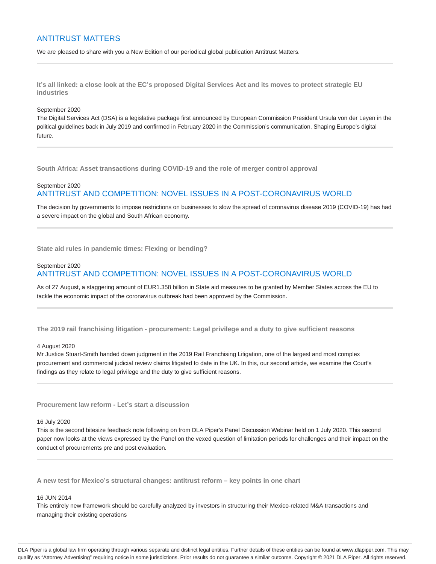# ANTITRUST MATTERS

We are pleased to share with you a New Edition of our periodical global publication Antitrust Matters.

**It's all linked: a close look at the EC's proposed Digital Services Act and its moves to protect strategic EU industries**

#### September 2020

The Digital Services Act (DSA) is a legislative package first announced by European Commission President Ursula von der Leyen in the political guidelines back in July 2019 and confirmed in February 2020 in the Commission's communication, Shaping Europe's digital future.

**South Africa: Asset transactions during COVID-19 and the role of merger control approval**

# September 2020 ANTITRUST AND COMPETITION: NOVEL ISSUES IN A POST-CORONAVIRUS WORLD

The decision by governments to impose restrictions on businesses to slow the spread of coronavirus disease 2019 (COVID-19) has had a severe impact on the global and South African economy.

**State aid rules in pandemic times: Flexing or bending?**

### September 2020 ANTITRUST AND COMPETITION: NOVEL ISSUES IN A POST-CORONAVIRUS WORLD

As of 27 August, a staggering amount of EUR1.358 billion in State aid measures to be granted by Member States across the EU to tackle the economic impact of the coronavirus outbreak had been approved by the Commission.

**The 2019 rail franchising litigation - procurement: Legal privilege and a duty to give sufficient reasons**

#### 4 August 2020

Mr Justice Stuart-Smith handed down judgment in the 2019 Rail Franchising Litigation, one of the largest and most complex procurement and commercial judicial review claims litigated to date in the UK. In this, our second article, we examine the Court's findings as they relate to legal privilege and the duty to give sufficient reasons.

**Procurement law reform - Let's start a discussion**

#### 16 July 2020

This is the second bitesize feedback note following on from DLA Piper's Panel Discussion Webinar held on 1 July 2020. This second paper now looks at the views expressed by the Panel on the vexed question of limitation periods for challenges and their impact on the conduct of procurements pre and post evaluation.

**A new test for Mexico's structural changes: antitrust reform – key points in one chart**

#### 16 JUN 2014

This entirely new framework should be carefully analyzed by investors in structuring their Mexico-related M&A transactions and managing their existing operations